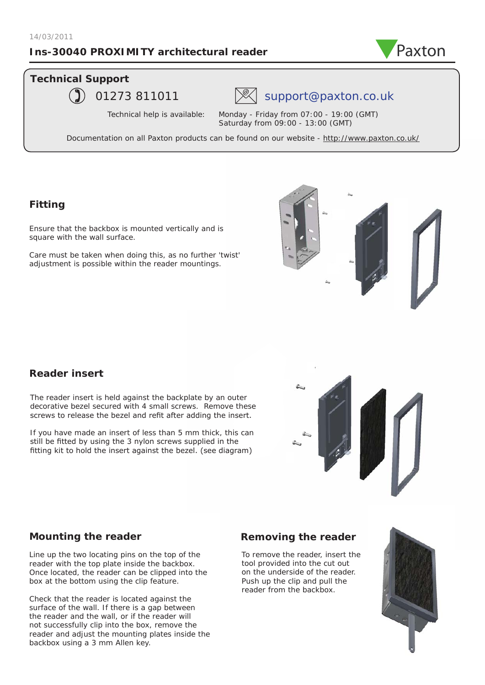## **Ins-30040 PROXIMITY architectural reader**



## **Technical Support**



## 01273 811011  $\mathbb{R}$  support@paxton.co.uk

Technical help is available: Monday - Friday from 07:00 - 19:00 (GMT) Saturday from 09:00 - 13:00 (GMT)

Documentation on all Paxton products can be found on our website - http://www.paxton.co.uk/

## **Fitting**

Ensure that the backbox is mounted vertically and is square with the wall surface.

Care must be taken when doing this, as no further 'twist' adjustment is possible within the reader mountings.



## **Reader insert**

The reader insert is held against the backplate by an outer decorative bezel secured with 4 small screws. Remove these screws to release the bezel and refit after adding the insert.

If you have made an insert of less than 5 mm thick, this can still be fitted by using the 3 nylon screws supplied in the fitting kit to hold the insert against the bezel. (see diagram)



## **Mounting the reader**

Line up the two locating pins on the top of the reader with the top plate inside the backbox. Once located, the reader can be clipped into the box at the bottom using the clip feature.

Check that the reader is located against the surface of the wall. If there is a gap between the reader and the wall, or if the reader will not successfully clip into the box, remove the reader and adjust the mounting plates inside the backbox using a 3 mm Allen key.

## **Removing the reader**

To remove the reader, insert the tool provided into the cut out on the underside of the reader. Push up the clip and pull the reader from the backbox.

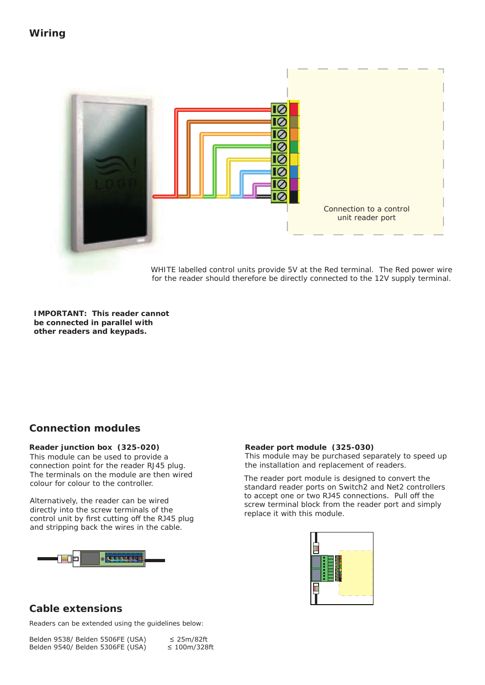

WHITE labelled control units provide 5V at the Red terminal. The Red power wire for the reader should therefore be directly connected to the 12V supply terminal.

**IMPORTANT: This reader cannot be connected in parallel with other readers and keypads.**

## **Connection modules**

### **Reader junction box (325-020)**

This module can be used to provide a connection point for the reader RJ45 plug. The terminals on the module are then wired colour for colour to the controller.

Alternatively, the reader can be wired directly into the screw terminals of the control unit by first cutting off the RJ45 plug and stripping back the wires in the cable.



#### **Reader port module (325-030)**

This module may be purchased separately to speed up the installation and replacement of readers.

The reader port module is designed to convert the standard reader ports on Switch2 and Net2 controllers to accept one or two RJ45 connections. Pull off the screw terminal block from the reader port and simply replace it with this module.



## **Cable extensions**

Readers can be extended using the guidelines below: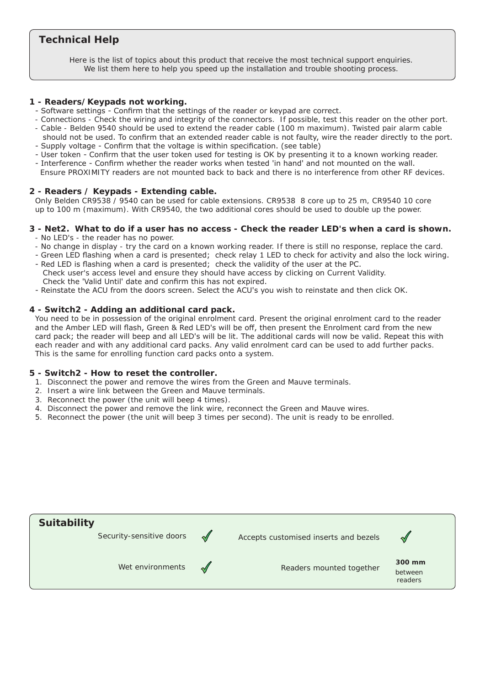## **Technical Help**

Here is the list of topics about this product that receive the most technical support enquiries. We list them here to help you speed up the installation and trouble shooting process.

#### **1 - Readers/Keypads not working.**

- Software settings Confirm that the settings of the reader or keypad are correct.
- Connections Check the wiring and integrity of the connectors. If possible, test this reader on the other port.
- Cable Belden 9540 should be used to extend the reader cable (100 m maximum). Twisted pair alarm cable should not be used. To confirm that an extended reader cable is not faulty, wire the reader directly to the port.
- Supply voltage Confirm that the voltage is within specification. (see table)
- User token Confirm that the user token used for testing is OK by presenting it to a known working reader. - Interference - Confirm whether the reader works when tested 'in hand' and not mounted on the wall.
- Ensure PROXIMITY readers are not mounted back to back and there is no interference from other RF devices.

### **2 - Readers / Keypads - Extending cable.**

Only Belden CR9538 / 9540 can be used for cable extensions. CR9538 8 core up to 25 m, CR9540 10 core up to 100 m (maximum). With CR9540, the two additional cores should be used to double up the power.

#### **3 - Net2. What to do if a user has no access - Check the reader LED's when a card is shown.**  - No LED's - the reader has no power.

- No change in display try the card on a known working reader. If there is still no response, replace the card.
- Q- Green LED flashing when a card is presented; check relay 1 LED to check for activity and also the lock wiring.
- Q- Red LED is flashing when a card is presented; check the validity of the user at the PC. Check user's access level and ensure they should have access by clicking on Current Validity. Check the 'Valid Until' date and confirm this has not expired.
- Reinstate the ACU from the doors screen. Select the ACU's you wish to reinstate and then click OK.

#### **4 - Switch2 - Adding an additional card pack.**

You need to be in possession of the original enrolment card. Present the original enrolment card to the reader and the Amber LED will flash, Green & Red LED's will be off, then present the Enrolment card from the new card pack; the reader will beep and all LED's will be lit. The additional cards will now be valid. Repeat this with each reader and with any additional card packs. Any valid enrolment card can be used to add further packs. This is the same for enrolling function card packs onto a system.

#### **5 - Switch2 - How to reset the controller.**

- 1. Disconnect the power and remove the wires from the Green and Mauve terminals.
- Q2. Insert a wire link between the Green and Mauve terminals.
- 3. Reconnect the power (the unit will beep 4 times).
- 4. Disconnect the power and remove the link wire, reconnect the Green and Mauve wires.
- 5. Reconnect the power (the unit will beep 3 times per second). The unit is ready to be enrolled.